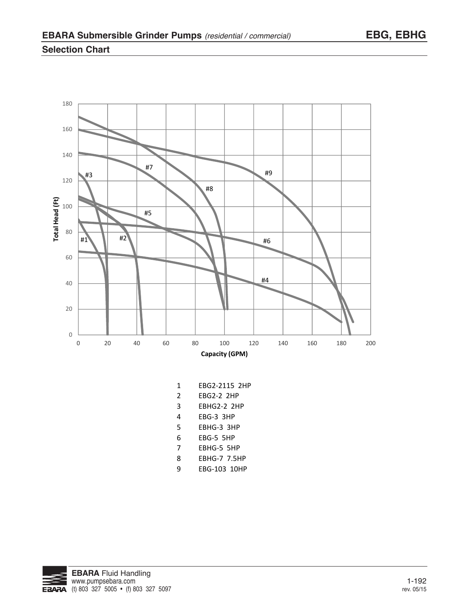## **Selection Chart**



- 1 EBG2-2115 2HP
- 2 EBG2-2 2HP
- 3 EBHG2-2 2HP
- 4 EBG-3 3HP
- 5 EBHG-3 3HP
- 6 EBG-5 5HP
- 7 EBHG-5 5HP
- 8 EBHG-7 7.5HP
- 9 EBG-103 10HP

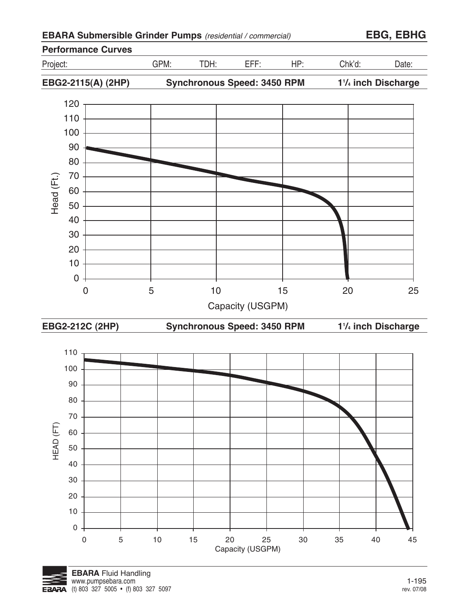

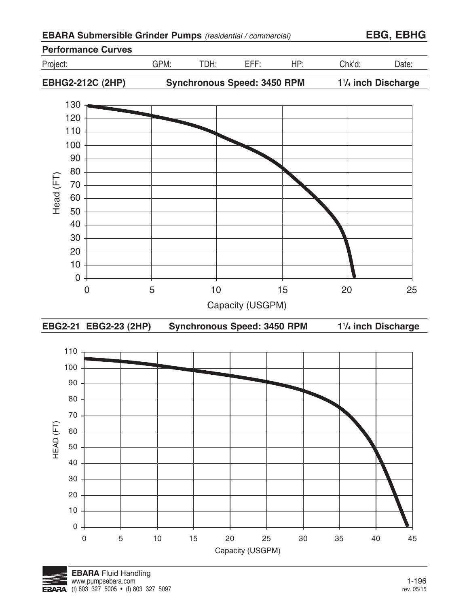

0 5 10 15 20 25 30 35 40 45

Capacity (USGPM)

0

10 20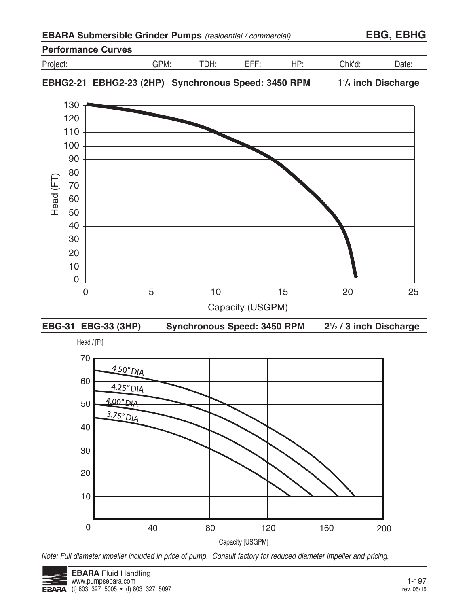| <b>EBARA Submersible Grinder Pumps</b> (residential / commercial) |  |  |  |
|-------------------------------------------------------------------|--|--|--|
|-------------------------------------------------------------------|--|--|--|

**EBARA Submersible Grinder Pumps** (residential / commercial) **EBG, EBHG**

## **Performance Curves** Project: GPM: TDH: EFF: HP: Chk'd: Date: **EBHG2-21 EBHG2-23 (2HP) Synchronous Speed: 3450 RPM 11 /4 inch Discharge**



**EBG-31 EBG-33 (3HP) Synchronous Speed: 3450 RPM 21 /2 / 3 inch Discharge**



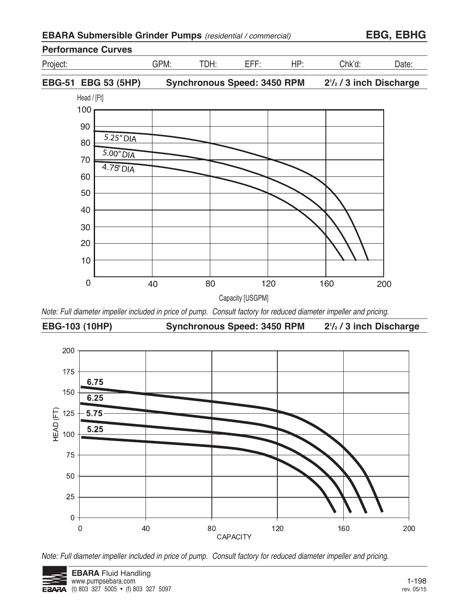| EBARA Submersible Grinder Pumps (residential / commercial) |  |
|------------------------------------------------------------|--|
|------------------------------------------------------------|--|

**EBARA Submersible Grinder Pumps** (residential / commercial) **EBG, EBHG**



Note: Full diameter impeller included in price of pump. Consult factory for reduced diameter impeller and pricing.



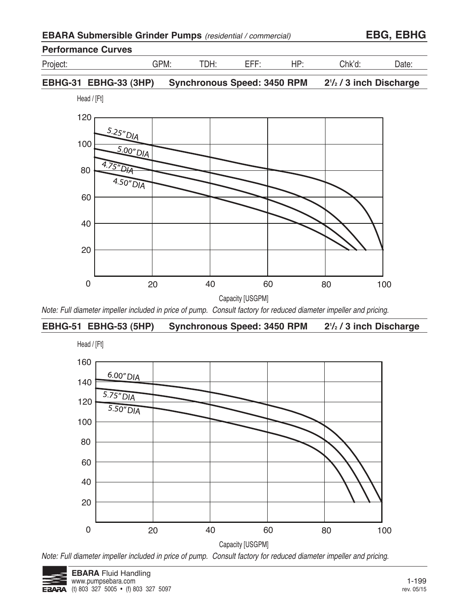| <b>EBARA Submersible Grinder Pumps</b> (residential / commercial) |  |
|-------------------------------------------------------------------|--|
|-------------------------------------------------------------------|--|

# **Performance Curves**



Project: GPM: TDH: EFF: HP: Chk'd: Date:

#### **EBHG-31 EBHG-33 (3HP) Synchronous Speed: 3450 RPM 21 /2 / 3 inch Discharge**

Head / [Ft]



Note: Full diameter impeller included in price of pump. Consult factory for reduced diameter impeller and pricing.